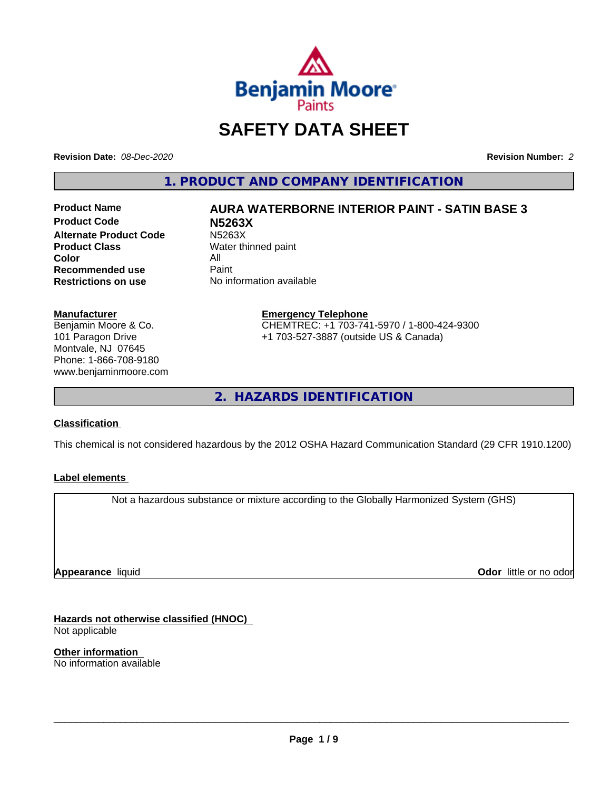

## **SAFETY DATA SHEET**

**Revision Date:** *08-Dec-2020* **Revision Number:** *2*

**1. PRODUCT AND COMPANY IDENTIFICATION**

**Product Code N5263X Alternate Product Code M5263X**<br> **Product Class Mater th Color** All<br> **Recommended use** Paint **Recommended use**<br>Restrictions on use

# **Product Name AURA WATERBORNE INTERIOR PAINT - SATIN BASE 3**

**Water thinned paint No information available** 

**Manufacturer**

Benjamin Moore & Co. 101 Paragon Drive Montvale, NJ 07645 Phone: 1-866-708-9180 www.benjaminmoore.com

#### **Emergency Telephone** CHEMTREC: +1 703-741-5970 / 1-800-424-9300 +1 703-527-3887 (outside US & Canada)

**2. HAZARDS IDENTIFICATION**

#### **Classification**

This chemical is not considered hazardous by the 2012 OSHA Hazard Communication Standard (29 CFR 1910.1200)

#### **Label elements**

Not a hazardous substance or mixture according to the Globally Harmonized System (GHS)

**Appearance** liquid

**Odor** little or no odor

**Hazards not otherwise classified (HNOC)** Not applicable

**Other information** No information available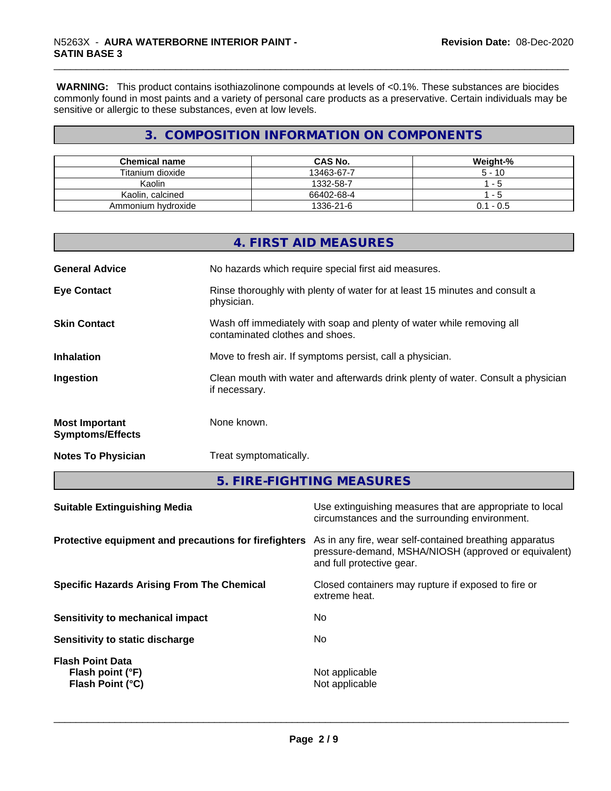**WARNING:** This product contains isothiazolinone compounds at levels of <0.1%. These substances are biocides commonly found in most paints and a variety of personal care products as a preservative. Certain individuals may be sensitive or allergic to these substances, even at low levels.

## **3. COMPOSITION INFORMATION ON COMPONENTS**

| <b>Chemical name</b> | <b>CAS No.</b> | Weight-%     |
|----------------------|----------------|--------------|
| Titanium dioxide     | 13463-67-7     | $5 - 10$     |
| Kaolin               | 1332-58-7      | $ -$         |
| Kaolin, calcined     | 66402-68-4     | - 5          |
| Ammonium hydroxide   | 1336-21-6      | - 0.5<br>0.1 |

|                                                  | 4. FIRST AID MEASURES                                                                                    |
|--------------------------------------------------|----------------------------------------------------------------------------------------------------------|
| <b>General Advice</b>                            | No hazards which require special first aid measures.                                                     |
| <b>Eye Contact</b>                               | Rinse thoroughly with plenty of water for at least 15 minutes and consult a<br>physician.                |
| <b>Skin Contact</b>                              | Wash off immediately with soap and plenty of water while removing all<br>contaminated clothes and shoes. |
| <b>Inhalation</b>                                | Move to fresh air. If symptoms persist, call a physician.                                                |
| Ingestion                                        | Clean mouth with water and afterwards drink plenty of water. Consult a physician<br>if necessary.        |
| <b>Most Important</b><br><b>Symptoms/Effects</b> | None known.                                                                                              |
| <b>Notes To Physician</b>                        | Treat symptomatically.                                                                                   |

**5. FIRE-FIGHTING MEASURES**

| <b>Suitable Extinguishing Media</b>                                    | Use extinguishing measures that are appropriate to local<br>circumstances and the surrounding environment.                                   |
|------------------------------------------------------------------------|----------------------------------------------------------------------------------------------------------------------------------------------|
| Protective equipment and precautions for firefighters                  | As in any fire, wear self-contained breathing apparatus<br>pressure-demand, MSHA/NIOSH (approved or equivalent)<br>and full protective gear. |
| <b>Specific Hazards Arising From The Chemical</b>                      | Closed containers may rupture if exposed to fire or<br>extreme heat.                                                                         |
| Sensitivity to mechanical impact                                       | No                                                                                                                                           |
| Sensitivity to static discharge                                        | No                                                                                                                                           |
| <b>Flash Point Data</b><br>Flash point (°F)<br><b>Flash Point (°C)</b> | Not applicable<br>Not applicable                                                                                                             |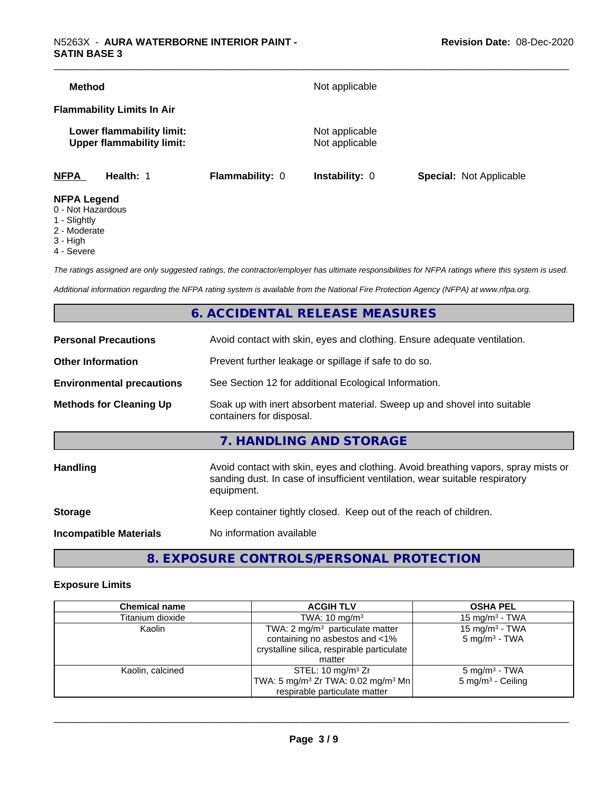| <b>Method</b>                                                 |                 | Not applicable                   |                                |
|---------------------------------------------------------------|-----------------|----------------------------------|--------------------------------|
| <b>Flammability Limits In Air</b>                             |                 |                                  |                                |
| Lower flammability limit:<br><b>Upper flammability limit:</b> |                 | Not applicable<br>Not applicable |                                |
| <b>NFPA</b><br>Health: 1                                      | Flammability: 0 | <b>Instability: 0</b>            | <b>Special: Not Applicable</b> |
| <b>NFPA Legend</b><br>0 - Not Hazardous                       |                 |                                  |                                |

- 1 Slightly
- 2 Moderate
- 3 High
- 4 Severe

*The ratings assigned are only suggested ratings, the contractor/employer has ultimate responsibilities for NFPA ratings where this system is used.*

*Additional information regarding the NFPA rating system is available from the National Fire Protection Agency (NFPA) at www.nfpa.org.*

## **6. ACCIDENTAL RELEASE MEASURES**

| <b>Personal Precautions</b>      | Avoid contact with skin, eyes and clothing. Ensure adequate ventilation.                                                                                                         |
|----------------------------------|----------------------------------------------------------------------------------------------------------------------------------------------------------------------------------|
| <b>Other Information</b>         | Prevent further leakage or spillage if safe to do so.                                                                                                                            |
| <b>Environmental precautions</b> | See Section 12 for additional Ecological Information.                                                                                                                            |
| <b>Methods for Cleaning Up</b>   | Soak up with inert absorbent material. Sweep up and shovel into suitable<br>containers for disposal.                                                                             |
|                                  | 7. HANDLING AND STORAGE                                                                                                                                                          |
| Handling                         | Avoid contact with skin, eyes and clothing. Avoid breathing vapors, spray mists or<br>sanding dust. In case of insufficient ventilation, wear suitable respiratory<br>equipment. |
| <b>Storage</b>                   | Keep container tightly closed. Keep out of the reach of children.                                                                                                                |
| <b>Incompatible Materials</b>    | No information available                                                                                                                                                         |
|                                  |                                                                                                                                                                                  |

## **8. EXPOSURE CONTROLS/PERSONAL PROTECTION**

#### **Exposure Limits**

| <b>Chemical name</b> | <b>ACGIH TLV</b>                                                                                                                     | <b>OSHA PEL</b>                                          |
|----------------------|--------------------------------------------------------------------------------------------------------------------------------------|----------------------------------------------------------|
| Titanium dioxide     | TWA: $10 \text{ mg/m}^3$                                                                                                             | 15 mg/m $3$ - TWA                                        |
| Kaolin               | TWA: $2 \text{ mg/m}^3$ particulate matter<br>containing no asbestos and <1%<br>crystalline silica, respirable particulate<br>matter | 15 mg/m <sup>3</sup> - TWA<br>$5 \text{ mg/m}^3$ - TWA   |
| Kaolin, calcined     | STEL: 10 mg/m $3$ Zr<br>TWA: 5 mg/m <sup>3</sup> Zr TWA: 0.02 mg/m <sup>3</sup> Mn<br>respirable particulate matter                  | $5 \text{ mg/m}^3$ - TWA<br>$5 \text{ mg/m}^3$ - Ceiling |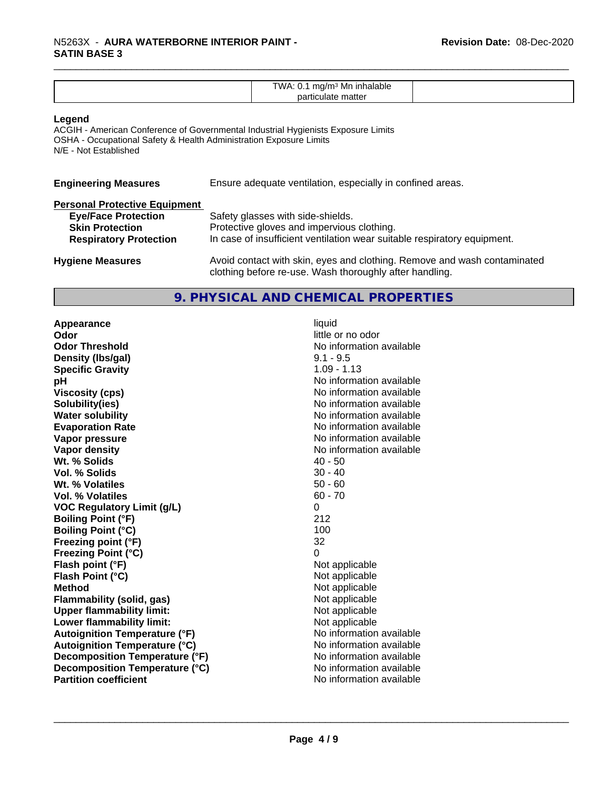| TWA<br>Mn<br><b>Innalable</b><br>ונזוו |  |
|----------------------------------------|--|
| .<br>.<br>. .                          |  |
|                                        |  |
| папе                                   |  |

#### **Legend**

ACGIH - American Conference of Governmental Industrial Hygienists Exposure Limits OSHA - Occupational Safety & Health Administration Exposure Limits N/E - Not Established

| <b>Engineering Measures</b>          | Ensure adequate ventilation, especially in confined areas.                                                                          |
|--------------------------------------|-------------------------------------------------------------------------------------------------------------------------------------|
| <b>Personal Protective Equipment</b> |                                                                                                                                     |
| <b>Eye/Face Protection</b>           | Safety glasses with side-shields.                                                                                                   |
| <b>Skin Protection</b>               | Protective gloves and impervious clothing.                                                                                          |
| <b>Respiratory Protection</b>        | In case of insufficient ventilation wear suitable respiratory equipment.                                                            |
| <b>Hygiene Measures</b>              | Avoid contact with skin, eyes and clothing. Remove and wash contaminated<br>clothing before re-use. Wash thoroughly after handling. |

#### **9. PHYSICAL AND CHEMICAL PROPERTIES**

**Appearance** liquid **Odor Odor** little or no odor<br> **Odor Threshold Containery of the Containery of the Containery of the Containery of the Containery of the Contain Density (lbs/gal)** 9.1 - 9.5 **Specific Gravity** 1.09 - 1.13 **pH** No information available **Viscosity (cps)** No information available **Solubility(ies)** No information available **Water solubility** No information available **Evaporation Rate** Note 2008 and 2009 No information available **Vapor pressure** No information available **Vapor density No information available No information available Wt. % Solids** 40 - 50<br> **Vol. % Solids** 30 - 40 **Vol. % Solids** 30 - 40<br> **Wt. % Volatiles** 50 - 60 **Wt. % Volatiles Vol. % Volatiles** 60 - 70 **VOC Regulatory Limit (g/L)** 0 **Boiling Point (°F)** 212 **Boiling Point (°C)** 100 **Freezing point (°F)** 32 **Freezing Point (°C)** 0 **Flash point (°F)**<br> **Flash Point (°C)**<br> **Flash Point (°C)**<br> **C Flash Point (°C) Method** Not applicable **Flammability (solid, gas)**<br> **Commability limit:**<br>
Upper flammability limit:<br>
Not applicable **Upper flammability limit:**<br> **Lower flammability limit:**<br>
Not applicable<br>
Not applicable **Lower flammability limit: Autoignition Temperature (°F)**<br> **Autoignition Temperature (°C)** No information available **Autoignition Temperature (°C) Decomposition Temperature (°F)** No information available **Decomposition Temperature (°C)**<br> **Partition coefficient**<br> **Partition coefficient**<br> **No** information available

**No information available No information available**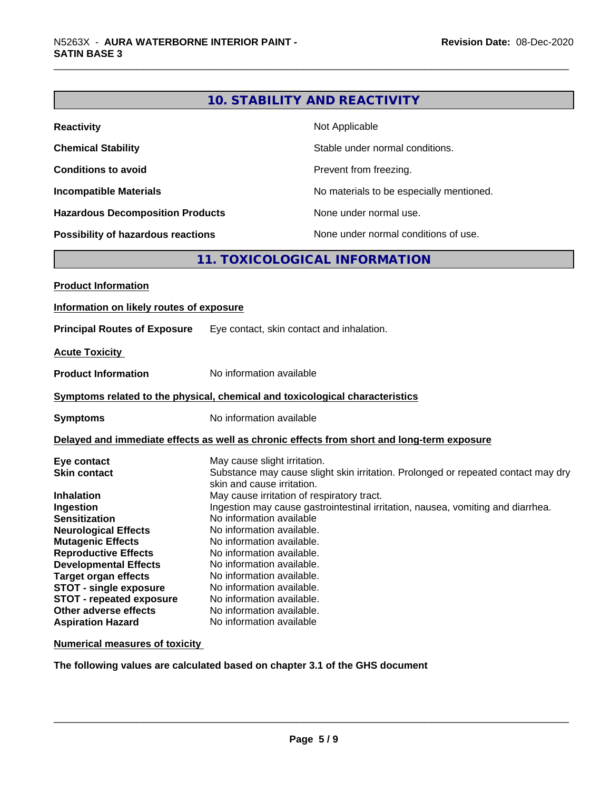|                                                                              |                                                                                 | <b>10. STABILITY AND REACTIVITY</b>                                                        |
|------------------------------------------------------------------------------|---------------------------------------------------------------------------------|--------------------------------------------------------------------------------------------|
| <b>Reactivity</b>                                                            |                                                                                 | Not Applicable                                                                             |
| <b>Chemical Stability</b>                                                    |                                                                                 | Stable under normal conditions.                                                            |
| <b>Conditions to avoid</b>                                                   |                                                                                 | Prevent from freezing.                                                                     |
| <b>Incompatible Materials</b>                                                |                                                                                 | No materials to be especially mentioned.                                                   |
| <b>Hazardous Decomposition Products</b>                                      |                                                                                 | None under normal use.                                                                     |
| <b>Possibility of hazardous reactions</b>                                    |                                                                                 | None under normal conditions of use.                                                       |
|                                                                              |                                                                                 | 11. TOXICOLOGICAL INFORMATION                                                              |
| <b>Product Information</b>                                                   |                                                                                 |                                                                                            |
|                                                                              |                                                                                 |                                                                                            |
| Information on likely routes of exposure                                     |                                                                                 |                                                                                            |
| <b>Principal Routes of Exposure</b>                                          | Eye contact, skin contact and inhalation.                                       |                                                                                            |
| <b>Acute Toxicity</b>                                                        |                                                                                 |                                                                                            |
| <b>Product Information</b>                                                   | No information available                                                        |                                                                                            |
| Symptoms related to the physical, chemical and toxicological characteristics |                                                                                 |                                                                                            |
| <b>Symptoms</b>                                                              | No information available                                                        |                                                                                            |
|                                                                              |                                                                                 | Delayed and immediate effects as well as chronic effects from short and long-term exposure |
| Eye contact                                                                  | May cause slight irritation.                                                    |                                                                                            |
| <b>Skin contact</b>                                                          |                                                                                 | Substance may cause slight skin irritation. Prolonged or repeated contact may dry          |
|                                                                              | skin and cause irritation.                                                      |                                                                                            |
| Inhalation                                                                   | May cause irritation of respiratory tract.                                      |                                                                                            |
| Ingestion                                                                    | Ingestion may cause gastrointestinal irritation, nausea, vomiting and diarrhea. |                                                                                            |
| <b>Sensitization</b>                                                         | No information available                                                        |                                                                                            |
| <b>Neurological Effects</b>                                                  | No information available.                                                       |                                                                                            |
| <b>Mutagenic Effects</b>                                                     | No information available.                                                       |                                                                                            |
| <b>Reproductive Effects</b>                                                  | No information available.                                                       |                                                                                            |
| <b>Developmental Effects</b>                                                 | No information available.                                                       |                                                                                            |
| <b>Target organ effects</b>                                                  | No information available.                                                       |                                                                                            |
| <b>STOT - single exposure</b>                                                | No information available.                                                       |                                                                                            |
| <b>STOT - repeated exposure</b>                                              | No information available.                                                       |                                                                                            |
| Other adverse effects                                                        | No information available.                                                       |                                                                                            |
| <b>Aspiration Hazard</b>                                                     | No information available                                                        |                                                                                            |

**Numerical measures of toxicity**

**The following values are calculated based on chapter 3.1 of the GHS document**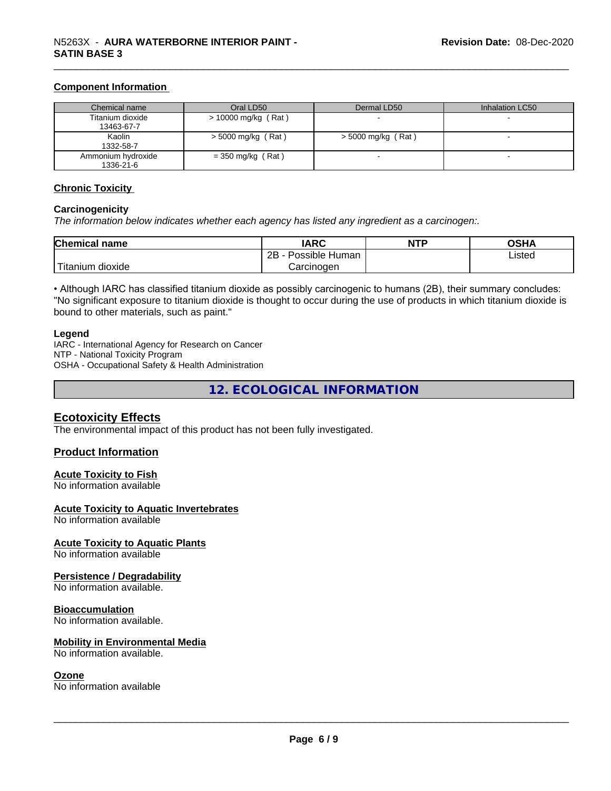#### **Component Information**

| Chemical name                   | Oral LD50             | Dermal LD50          | Inhalation LC50 |
|---------------------------------|-----------------------|----------------------|-----------------|
| Titanium dioxide<br>13463-67-7  | $> 10000$ mg/kg (Rat) |                      |                 |
| Kaolin<br>1332-58-7             | $>$ 5000 mg/kg (Rat)  | $>$ 5000 mg/kg (Rat) |                 |
| Ammonium hydroxide<br>1336-21-6 | $=$ 350 mg/kg (Rat)   |                      |                 |

#### **Chronic Toxicity**

#### **Carcinogenicity**

*The information below indicateswhether each agency has listed any ingredient as a carcinogen:.*

| <b>Chemical</b><br>name            | <b>IARC</b>                              | <b>NTP</b> | ດເ⊔າ<br>∪אח |
|------------------------------------|------------------------------------------|------------|-------------|
|                                    | .<br>クロ<br>Human<br>Possible<br><u>_</u> |            | ∟isted      |
| .<br><br>dioxide<br><b>itanium</b> | Carcinogen                               |            |             |

• Although IARC has classified titanium dioxide as possibly carcinogenic to humans (2B), their summary concludes: "No significant exposure to titanium dioxide is thought to occur during the use of products in which titanium dioxide is bound to other materials, such as paint."

#### **Legend**

IARC - International Agency for Research on Cancer NTP - National Toxicity Program OSHA - Occupational Safety & Health Administration

**12. ECOLOGICAL INFORMATION**

### **Ecotoxicity Effects**

The environmental impact of this product has not been fully investigated.

#### **Product Information**

#### **Acute Toxicity to Fish**

No information available

#### **Acute Toxicity to Aquatic Invertebrates**

No information available

#### **Acute Toxicity to Aquatic Plants**

No information available

#### **Persistence / Degradability**

No information available.

#### **Bioaccumulation**

No information available.

#### **Mobility in Environmental Media**

No information available.

#### **Ozone**

No information available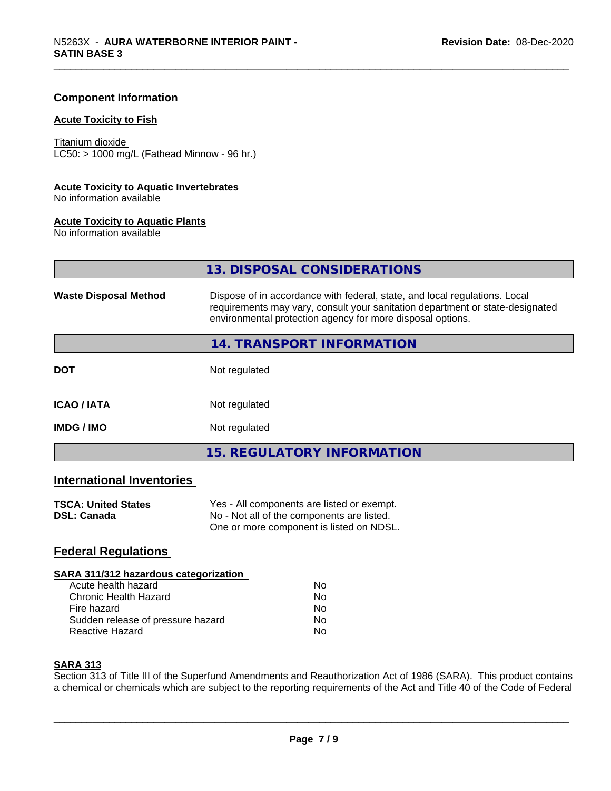#### **Component Information**

#### **Acute Toxicity to Fish**

Titanium dioxide  $LC50:$  > 1000 mg/L (Fathead Minnow - 96 hr.)

#### **Acute Toxicity to Aquatic Invertebrates**

No information available

#### **Acute Toxicity to Aquatic Plants**

No information available

|                              | 13. DISPOSAL CONSIDERATIONS                                                                                                                                                                                               |
|------------------------------|---------------------------------------------------------------------------------------------------------------------------------------------------------------------------------------------------------------------------|
| <b>Waste Disposal Method</b> | Dispose of in accordance with federal, state, and local regulations. Local<br>requirements may vary, consult your sanitation department or state-designated<br>environmental protection agency for more disposal options. |
|                              | 14. TRANSPORT INFORMATION                                                                                                                                                                                                 |
| <b>DOT</b>                   | Not regulated                                                                                                                                                                                                             |
| <b>ICAO/IATA</b>             | Not regulated                                                                                                                                                                                                             |
| <b>IMDG / IMO</b>            | Not regulated                                                                                                                                                                                                             |
|                              | <b>15. REGULATORY INFORMATION</b>                                                                                                                                                                                         |

## **International Inventories**

| <b>TSCA: United States</b> | Yes - All components are listed or exempt. |
|----------------------------|--------------------------------------------|
| <b>DSL: Canada</b>         | No - Not all of the components are listed. |
|                            | One or more component is listed on NDSL.   |

## **Federal Regulations**

#### **SARA 311/312 hazardous categorization** Acute health hazard No

| Acque Health Hazard               | .  |
|-----------------------------------|----|
| Chronic Health Hazard             | Nο |
| Fire hazard                       | Nο |
| Sudden release of pressure hazard | Nο |
| Reactive Hazard                   | N٥ |

#### **SARA 313**

Section 313 of Title III of the Superfund Amendments and Reauthorization Act of 1986 (SARA). This product contains a chemical or chemicals which are subject to the reporting requirements of the Act and Title 40 of the Code of Federal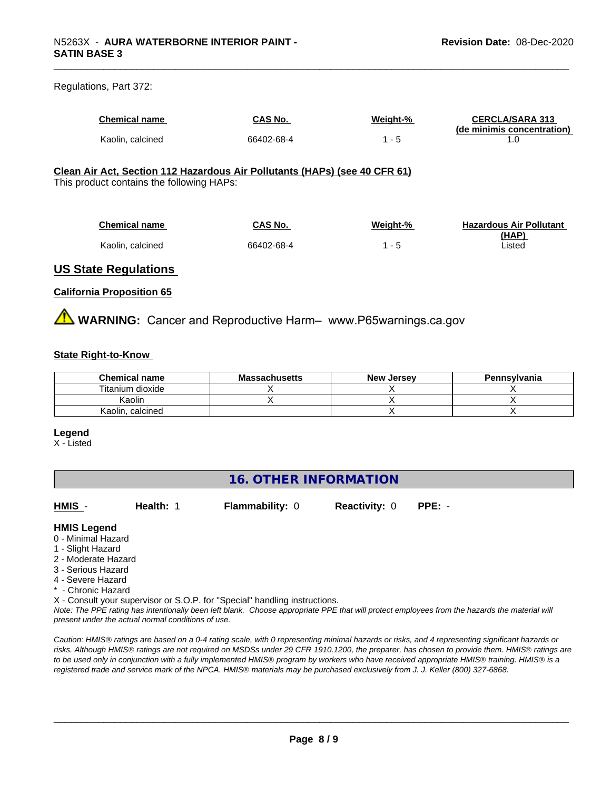#### Regulations, Part 372:

| <b>Chemical name</b> | <b>CAS No.</b> | Weight-% | <b>CERCLA/SARA 313</b>     |
|----------------------|----------------|----------|----------------------------|
|                      |                |          | (de minimis concentration) |
| Kaolin, calcined     | 66402-68-4     |          |                            |

#### **Clean Air Act,Section 112 Hazardous Air Pollutants (HAPs) (see 40 CFR 61)**

This product contains the following HAPs:

| Chemical name    | CAS No.    | Weight-% | <b>Hazardous Air Pollutant</b> |
|------------------|------------|----------|--------------------------------|
| Kaolin, calcined | 66402-68-4 |          | (HAP)<br>∟isted                |
|                  |            |          |                                |

#### **US State Regulations**

#### **California Proposition 65**

**WARNING:** Cancer and Reproductive Harm– www.P65warnings.ca.gov

#### **State Right-to-Know**

| <b>Chemical name</b> | <b>Massachusetts</b> | <b>New Jersey</b> | Pennsylvania |
|----------------------|----------------------|-------------------|--------------|
| Titanium dioxide     |                      |                   |              |
| Kaolin               |                      |                   |              |
| . calcined<br>Kaolin |                      |                   |              |

#### **Legend**

X - Listed

## **16. OTHER INFORMATION**

**HMIS** - **Health:** 1 **Flammability:** 0 **Reactivity:** 0 **PPE:** -

#### **HMIS Legend**

- 0 Minimal Hazard
- 1 Slight Hazard
- 2 Moderate Hazard
- 3 Serious Hazard
- 4 Severe Hazard
- \* Chronic Hazard
- X Consult your supervisor or S.O.P. for "Special" handling instructions.

*Note: The PPE rating has intentionally been left blank. Choose appropriate PPE that will protect employees from the hazards the material will present under the actual normal conditions of use.*

*Caution: HMISÒ ratings are based on a 0-4 rating scale, with 0 representing minimal hazards or risks, and 4 representing significant hazards or risks. Although HMISÒ ratings are not required on MSDSs under 29 CFR 1910.1200, the preparer, has chosen to provide them. HMISÒ ratings are to be used only in conjunction with a fully implemented HMISÒ program by workers who have received appropriate HMISÒ training. HMISÒ is a registered trade and service mark of the NPCA. HMISÒ materials may be purchased exclusively from J. J. Keller (800) 327-6868.*